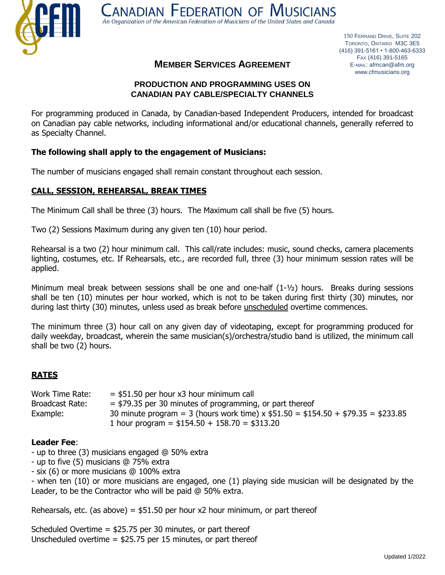

150 FERRAND DRIVE, SUITE 202 TORONTO, ONTARIO M3C 3E5 (416) 391-5161 • 1-800-463-6333 FAX (416) 391-5165 E-MAIL: afmcan@afm.org www.cfmusicians.org

# **MEMBER SERVICES AGREEMENT**

**ANADIAN FEDERATION OF MUSICIANS** An Organization of the American Federation of Musicians of the United States and Canada

#### **PRODUCTION AND PROGRAMMING USES ON CANADIAN PAY CABLE/SPECIALTY CHANNELS**

For programming produced in Canada, by Canadian-based Independent Producers, intended for broadcast on Canadian pay cable networks, including informational and/or educational channels, generally referred to as Specialty Channel.

# **The following shall apply to the engagement of Musicians:**

The number of musicians engaged shall remain constant throughout each session.

# **CALL, SESSION, REHEARSAL, BREAK TIMES**

The Minimum Call shall be three (3) hours. The Maximum call shall be five (5) hours.

Two (2) Sessions Maximum during any given ten (10) hour period.

Rehearsal is a two (2) hour minimum call. This call/rate includes: music, sound checks, camera placements lighting, costumes, etc. If Rehearsals, etc., are recorded full, three (3) hour minimum session rates will be applied.

Minimum meal break between sessions shall be one and one-half  $(1-\frac{1}{2})$  hours. Breaks during sessions shall be ten (10) minutes per hour worked, which is not to be taken during first thirty (30) minutes, nor during last thirty (30) minutes, unless used as break before unscheduled overtime commences.

The minimum three (3) hour call on any given day of videotaping, except for programming produced for daily weekday, broadcast, wherein the same musician(s)/orchestra/studio band is utilized, the minimum call shall be two (2) hours.

# **RATES**

| Work Time Rate: | $=$ \$51.50 per hour x3 hour minimum call                                       |  |
|-----------------|---------------------------------------------------------------------------------|--|
| Broadcast Rate: | $=$ \$79.35 per 30 minutes of programming, or part thereof                      |  |
| Example:        | 30 minute program = 3 (hours work time) x $$51.50 = $154.50 + $79.35 = $233.85$ |  |
|                 | 1 hour program = $$154.50 + 158.70 = $313.20$                                   |  |

#### **Leader Fee**:

- up to three (3) musicians engaged @ 50% extra
- up to five (5) musicians @ 75% extra
- six (6) or more musicians @ 100% extra

- when ten (10) or more musicians are engaged, one (1) playing side musician will be designated by the Leader, to be the Contractor who will be paid @ 50% extra.

Rehearsals, etc. (as above) =  $$51.50$  per hour x2 hour minimum, or part thereof

Scheduled Overtime = \$25.75 per 30 minutes, or part thereof Unscheduled overtime  $=$  \$25.75 per 15 minutes, or part thereof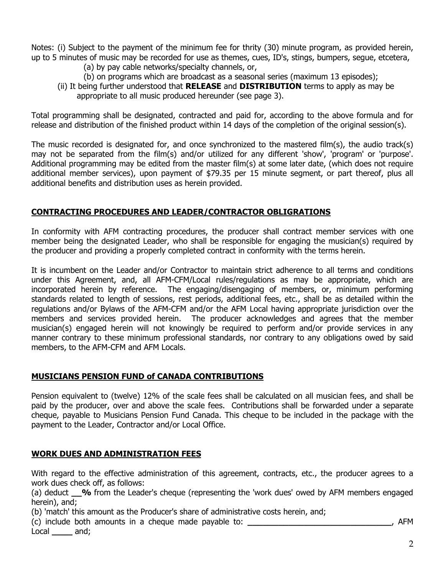Notes: (i) Subject to the payment of the minimum fee for thrity (30) minute program, as provided herein, up to 5 minutes of music may be recorded for use as themes, cues, ID's, stings, bumpers, segue, etcetera,

- (a) by pay cable networks/specialty channels, or,
- (b) on programs which are broadcast as a seasonal series (maximum 13 episodes);
- (ii) It being further understood that **RELEASE** and **DISTRIBUTION** terms to apply as may be appropriate to all music produced hereunder (see page 3).

Total programming shall be designated, contracted and paid for, according to the above formula and for release and distribution of the finished product within 14 days of the completion of the original session(s).

The music recorded is designated for, and once synchronized to the mastered film(s), the audio track(s) may not be separated from the film(s) and/or utilized for any different 'show', 'program' or 'purpose'. Additional programming may be edited from the master film(s) at some later date, (which does not require additional member services), upon payment of \$79.35 per 15 minute segment, or part thereof, plus all additional benefits and distribution uses as herein provided.

# **CONTRACTING PROCEDURES AND LEADER/CONTRACTOR OBLIGRATIONS**

In conformity with AFM contracting procedures, the producer shall contract member services with one member being the designated Leader, who shall be responsible for engaging the musician(s) required by the producer and providing a properly completed contract in conformity with the terms herein.

It is incumbent on the Leader and/or Contractor to maintain strict adherence to all terms and conditions under this Agreement, and, all AFM-CFM/Local rules/regulations as may be appropriate, which are incorporated herein by reference. The engaging/disengaging of members, or, minimum performing standards related to length of sessions, rest periods, additional fees, etc., shall be as detailed within the regulations and/or Bylaws of the AFM-CFM and/or the AFM Local having appropriate jurisdiction over the members and services provided herein. The producer acknowledges and agrees that the member musician(s) engaged herein will not knowingly be required to perform and/or provide services in any manner contrary to these minimum professional standards, nor contrary to any obligations owed by said members, to the AFM-CFM and AFM Locals.

#### **MUSICIANS PENSION FUND of CANADA CONTRIBUTIONS**

Pension equivalent to (twelve) 12% of the scale fees shall be calculated on all musician fees, and shall be paid by the producer, over and above the scale fees. Contributions shall be forwarded under a separate cheque, payable to Musicians Pension Fund Canada. This cheque to be included in the package with the payment to the Leader, Contractor and/or Local Office.

# **WORK DUES AND ADMINISTRATION FEES**

With regard to the effective administration of this agreement, contracts, etc., the producer agrees to a work dues check off, as follows:

(a) deduct **\_\_%** from the Leader's cheque (representing the 'work dues' owed by AFM members engaged herein), and;

(b) 'match' this amount as the Producer's share of administrative costs herein, and;

(c) include both amounts in a cheque made payable to: **\_\_\_\_\_\_\_\_\_\_\_\_\_\_\_\_\_\_\_\_\_\_\_\_\_\_\_\_**, AFM Local and;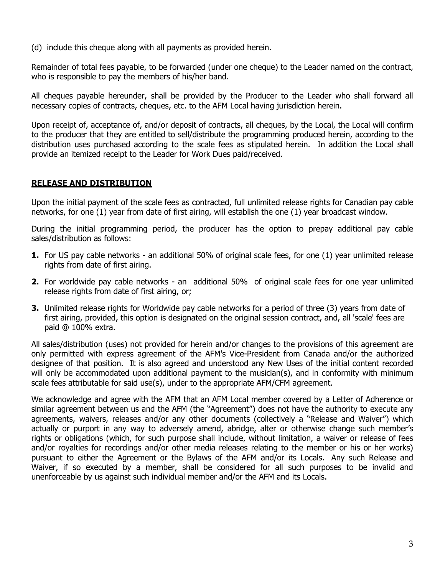(d) include this cheque along with all payments as provided herein.

Remainder of total fees payable, to be forwarded (under one cheque) to the Leader named on the contract, who is responsible to pay the members of his/her band.

All cheques payable hereunder, shall be provided by the Producer to the Leader who shall forward all necessary copies of contracts, cheques, etc. to the AFM Local having jurisdiction herein.

Upon receipt of, acceptance of, and/or deposit of contracts, all cheques, by the Local, the Local will confirm to the producer that they are entitled to sell/distribute the programming produced herein, according to the distribution uses purchased according to the scale fees as stipulated herein. In addition the Local shall provide an itemized receipt to the Leader for Work Dues paid/received.

# **RELEASE AND DISTRIBUTION**

Upon the initial payment of the scale fees as contracted, full unlimited release rights for Canadian pay cable networks, for one (1) year from date of first airing, will establish the one (1) year broadcast window.

During the initial programming period, the producer has the option to prepay additional pay cable sales/distribution as follows:

- **1.** For US pay cable networks an additional 50% of original scale fees, for one (1) year unlimited release rights from date of first airing.
- **2.** For worldwide pay cable networks an additional 50% of original scale fees for one year unlimited release rights from date of first airing, or;
- **3.** Unlimited release rights for Worldwide pay cable networks for a period of three (3) years from date of first airing, provided, this option is designated on the original session contract, and, all 'scale' fees are paid @ 100% extra.

All sales/distribution (uses) not provided for herein and/or changes to the provisions of this agreement are only permitted with express agreement of the AFM's Vice-President from Canada and/or the authorized designee of that position. It is also agreed and understood any New Uses of the initial content recorded will only be accommodated upon additional payment to the musician(s), and in conformity with minimum scale fees attributable for said use(s), under to the appropriate AFM/CFM agreement.

We acknowledge and agree with the AFM that an AFM Local member covered by a Letter of Adherence or similar agreement between us and the AFM (the "Agreement") does not have the authority to execute any agreements, waivers, releases and/or any other documents (collectively a "Release and Waiver") which actually or purport in any way to adversely amend, abridge, alter or otherwise change such member's rights or obligations (which, for such purpose shall include, without limitation, a waiver or release of fees and/or royalties for recordings and/or other media releases relating to the member or his or her works) pursuant to either the Agreement or the Bylaws of the AFM and/or its Locals. Any such Release and Waiver, if so executed by a member, shall be considered for all such purposes to be invalid and unenforceable by us against such individual member and/or the AFM and its Locals.